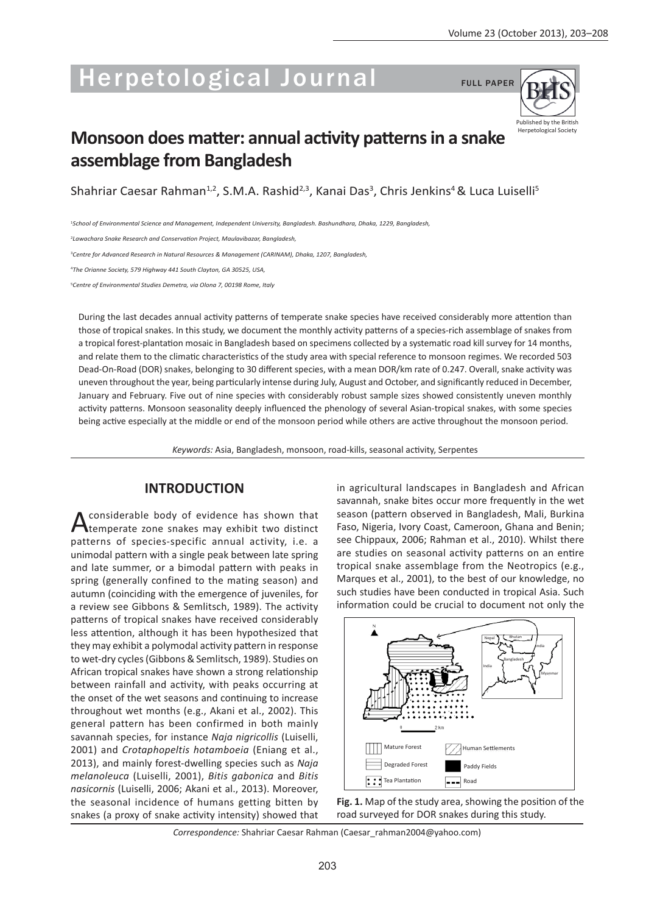# Herpetological Journal FULL PAPER



# **Monsoon does matter: annual activity patterns in a snake assemblage from Bangladesh**

Shahriar Caesar Rahman $^{1,2}$ , S.M.A. Rashid $^{2,3}$ , Kanai Das $^3$ , Chris Jenkins $^4$ & Luca Luiselli $^5$ 

1 *School of Environmental Science and Management, Independent University, Bangladesh. Bashundhara, Dhaka, 1229, Bangladesh,* 

2 *Lawachara Snake Research and Conservation Project, Maulavibazar, Bangladesh,*

3 *Centre for Advanced Research in Natural Resources & Management (CARINAM), Dhaka, 1207, Bangladesh,*

4 *The Orianne Society, 579 Highway 441 South Clayton, GA 30525, USA,* 

5 *Centre of Environmental Studies Demetra, via Olona 7, 00198 Rome, Italy* 

During the last decades annual activity patterns of temperate snake species have received considerably more attention than those of tropical snakes. In this study, we document the monthly activity patterns of a species-rich assemblage of snakes from a tropical forest-plantation mosaic in Bangladesh based on specimens collected by a systematic road kill survey for 14 months, and relate them to the climatic characteristics of the study area with special reference to monsoon regimes. We recorded 503 Dead-On-Road (DOR) snakes, belonging to 30 different species, with a mean DOR/km rate of 0.247. Overall, snake activity was uneven throughout the year, being particularly intense during July, August and October, and significantly reduced in December, January and February. Five out of nine species with considerably robust sample sizes showed consistently uneven monthly activity patterns. Monsoon seasonality deeply influenced the phenology of several Asian-tropical snakes, with some species being active especially at the middle or end of the monsoon period while others are active throughout the monsoon period.

*Keywords:* Asia, Bangladesh, monsoon, road-kills, seasonal activity, Serpentes

# **INTRODUCTION**

A considerable body of evidence has shown that<br>
temperate zone snakes may exhibit two distinct patterns of species-specific annual activity, i.e. a unimodal pattern with a single peak between late spring and late summer, or a bimodal pattern with peaks in spring (generally confined to the mating season) and autumn (coinciding with the emergence of juveniles, for a review see Gibbons & Semlitsch, 1989). The activity patterns of tropical snakes have received considerably less attention, although it has been hypothesized that they may exhibit a polymodal activity pattern in response to wet-dry cycles (Gibbons & Semlitsch, 1989). Studies on African tropical snakes have shown a strong relationship between rainfall and activity, with peaks occurring at the onset of the wet seasons and continuing to increase throughout wet months (e.g., Akani et al., 2002). This general pattern has been confirmed in both mainly savannah species, for instance *Naja nigricollis* (Luiselli, 2001) and *Crotaphopeltis hotamboeia* (Eniang et al., 2013), and mainly forest-dwelling species such as *Naja melanoleuca* (Luiselli, 2001), *Bitis gabonica* and *Bitis nasicornis* (Luiselli, 2006; Akani et al., 2013). Moreover, the seasonal incidence of humans getting bitten by snakes (a proxy of snake activity intensity) showed that

in agricultural landscapes in Bangladesh and African savannah, snake bites occur more frequently in the wet season (pattern observed in Bangladesh, Mali, Burkina Faso, Nigeria, Ivory Coast, Cameroon, Ghana and Benin; see Chippaux, 2006; Rahman et al., 2010). Whilst there are studies on seasonal activity patterns on an entire tropical snake assemblage from the Neotropics (e.g., Marques et al., 2001), to the best of our knowledge, no such studies have been conducted in tropical Asia. Such information could be crucial to document not only the





*Correspondence:* Shahriar Caesar Rahman (Caesar\_rahman2004@yahoo.com)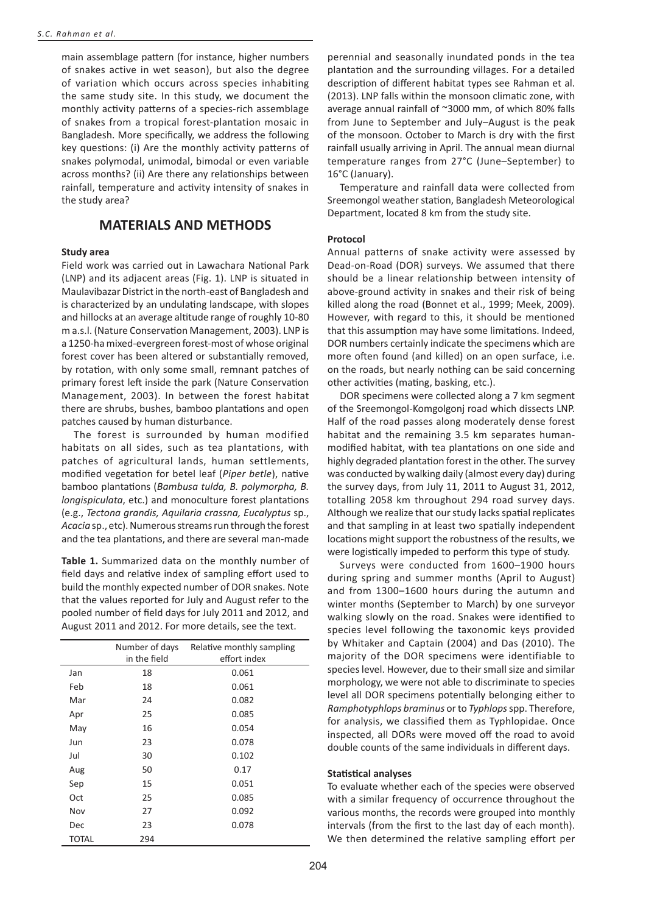main assemblage pattern (for instance, higher numbers of snakes active in wet season), but also the degree of variation which occurs across species inhabiting the same study site. In this study, we document the monthly activity patterns of a species-rich assemblage of snakes from a tropical forest-plantation mosaic in Bangladesh. More specifically, we address the following key questions: (i) Are the monthly activity patterns of snakes polymodal, unimodal, bimodal or even variable across months? (ii) Are there any relationships between rainfall, temperature and activity intensity of snakes in the study area?

# **MATERIALS AND METHODS**

#### **Study area**

Field work was carried out in Lawachara National Park (LNP) and its adjacent areas (Fig. 1). LNP is situated in Maulavibazar District in the north-east of Bangladesh and is characterized by an undulating landscape, with slopes and hillocks at an average altitude range of roughly 10-80 m a.s.l. (Nature Conservation Management, 2003). LNP is a 1250-ha mixed-evergreen forest-most of whose original forest cover has been altered or substantially removed, by rotation, with only some small, remnant patches of primary forest left inside the park (Nature Conservation Management, 2003). In between the forest habitat there are shrubs, bushes, bamboo plantations and open patches caused by human disturbance.

The forest is surrounded by human modified habitats on all sides, such as tea plantations, with patches of agricultural lands, human settlements, modified vegetation for betel leaf (*Piper betle*), native bamboo plantations (*Bambusa tulda, B. polymorpha, B. longispiculata*, etc.) and monoculture forest plantations (e.g., *Tectona grandis, Aquilaria crassna, Eucalyptus* sp., *Acacia* sp., etc). Numerous streams run through the forest and the tea plantations, and there are several man-made

**Table 1.** Summarized data on the monthly number of field days and relative index of sampling effort used to build the monthly expected number of DOR snakes. Note that the values reported for July and August refer to the pooled number of field days for July 2011 and 2012, and August 2011 and 2012. For more details, see the text.

|              | Number of days | Relative monthly sampling |
|--------------|----------------|---------------------------|
|              | in the field   | effort index              |
| Jan          | 18             | 0.061                     |
| Feb          | 18             | 0.061                     |
| Mar          | 24             | 0.082                     |
| Apr          | 25             | 0.085                     |
| May          | 16             | 0.054                     |
| Jun          | 23             | 0.078                     |
| Jul          | 30             | 0.102                     |
| Aug          | 50             | 0.17                      |
| Sep          | 15             | 0.051                     |
| Oct          | 25             | 0.085                     |
| Nov          | 27             | 0.092                     |
| Dec          | 23             | 0.078                     |
| <b>TOTAL</b> | 294            |                           |

perennial and seasonally inundated ponds in the tea plantation and the surrounding villages. For a detailed description of different habitat types see Rahman et al. (2013). LNP falls within the monsoon climatic zone, with average annual rainfall of ~3000 mm, of which 80% falls from June to September and July–August is the peak of the monsoon. October to March is dry with the first rainfall usually arriving in April. The annual mean diurnal temperature ranges from 27°C (June–September) to 16°C (January).

Temperature and rainfall data were collected from Sreemongol weather station, Bangladesh Meteorological Department, located 8 km from the study site.

#### **Protocol**

Annual patterns of snake activity were assessed by Dead-on-Road (DOR) surveys. We assumed that there should be a linear relationship between intensity of above-ground activity in snakes and their risk of being killed along the road (Bonnet et al., 1999; Meek, 2009). However, with regard to this, it should be mentioned that this assumption may have some limitations. Indeed, DOR numbers certainly indicate the specimens which are more often found (and killed) on an open surface, i.e. on the roads, but nearly nothing can be said concerning other activities (mating, basking, etc.).

DOR specimens were collected along a 7 km segment of the Sreemongol-Komgolgonj road which dissects LNP. Half of the road passes along moderately dense forest habitat and the remaining 3.5 km separates humanmodified habitat, with tea plantations on one side and highly degraded plantation forest in the other. The survey was conducted by walking daily (almost every day) during the survey days, from July 11, 2011 to August 31, 2012, totalling 2058 km throughout 294 road survey days. Although we realize that our study lacks spatial replicates and that sampling in at least two spatially independent locations might support the robustness of the results, we were logistically impeded to perform this type of study.

Surveys were conducted from 1600–1900 hours during spring and summer months (April to August) and from 1300–1600 hours during the autumn and winter months (September to March) by one surveyor walking slowly on the road. Snakes were identified to species level following the taxonomic keys provided by Whitaker and Captain (2004) and Das (2010). The majority of the DOR specimens were identifiable to species level. However, due to their small size and similar morphology, we were not able to discriminate to species level all DOR specimens potentially belonging either to *Ramphotyphlops braminus* or to *Typhlops* spp. Therefore, for analysis, we classified them as Typhlopidae. Once inspected, all DORs were moved off the road to avoid double counts of the same individuals in different days.

#### **Statistical analyses**

To evaluate whether each of the species were observed with a similar frequency of occurrence throughout the various months, the records were grouped into monthly intervals (from the first to the last day of each month). We then determined the relative sampling effort per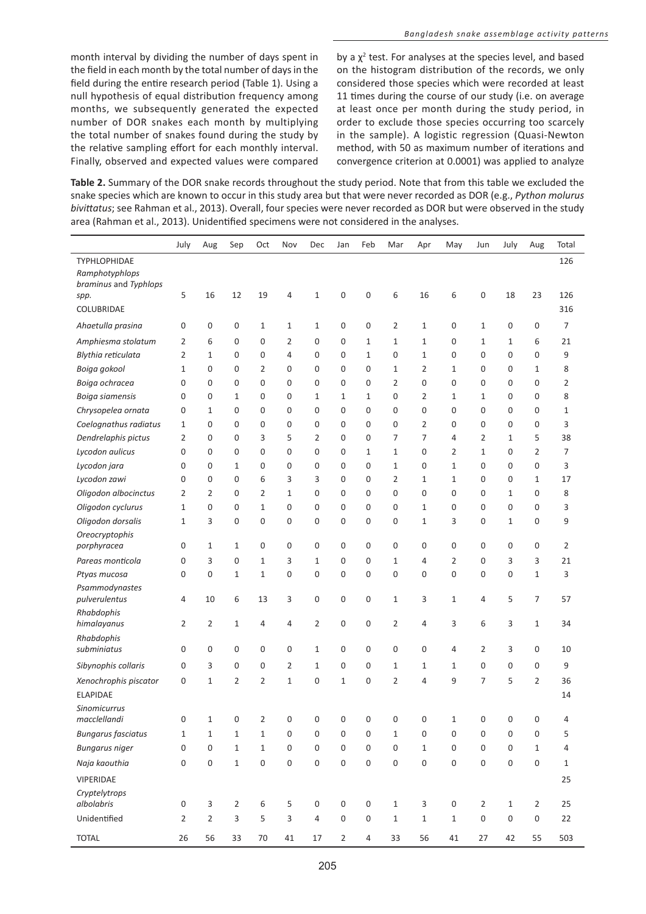month interval by dividing the number of days spent in the field in each month by the total number of days in the field during the entire research period (Table 1). Using a null hypothesis of equal distribution frequency among months, we subsequently generated the expected number of DOR snakes each month by multiplying the total number of snakes found during the study by the relative sampling effort for each monthly interval. Finally, observed and expected values were compared

by a  $\chi^2$  test. For analyses at the species level, and based on the histogram distribution of the records, we only considered those species which were recorded at least 11 times during the course of our study (i.e. on average at least once per month during the study period, in order to exclude those species occurring too scarcely in the sample). A logistic regression (Quasi-Newton method, with 50 as maximum number of iterations and convergence criterion at 0.0001) was applied to analyze

**Table 2.** Summary of the DOR snake records throughout the study period. Note that from this table we excluded the snake species which are known to occur in this study area but that were never recorded as DOR (e.g., *Python molurus bivittatus*; see Rahman et al., 2013). Overall, four species were never recorded as DOR but were observed in the study area (Rahman et al., 2013). Unidentified specimens were not considered in the analyses.

| TYPHLOPHIDAE<br>Ramphotyphlops<br>braminus and Typhlops<br>5<br>16<br>19<br>$\mathbf 0$<br>$\mathbf 0$<br>6<br>16<br>6<br>0<br>12<br>4<br>$\mathbf{1}$<br>18<br>23<br>spp.<br>COLUBRIDAE<br>Ahaetulla prasina<br>0<br>$\mathbf 0$<br>$\mathbf 0$<br>$\mathbf{1}$<br>$\mathbf{1}$<br>$\mathbf 0$<br>$\mathbf 0$<br>$\overline{2}$<br>$\mathbf{1}$<br>0<br>1<br>0<br>0<br>1 | 126<br>126<br>316<br>7<br>21<br>9<br>8 |
|---------------------------------------------------------------------------------------------------------------------------------------------------------------------------------------------------------------------------------------------------------------------------------------------------------------------------------------------------------------------------|----------------------------------------|
|                                                                                                                                                                                                                                                                                                                                                                           |                                        |
|                                                                                                                                                                                                                                                                                                                                                                           |                                        |
|                                                                                                                                                                                                                                                                                                                                                                           |                                        |
|                                                                                                                                                                                                                                                                                                                                                                           |                                        |
|                                                                                                                                                                                                                                                                                                                                                                           |                                        |
|                                                                                                                                                                                                                                                                                                                                                                           |                                        |
| Amphiesma stolatum<br>2<br>6<br>$\mathbf 0$<br>$\mathbf 0$<br>2<br>$\mathbf 0$<br>$\mathbf 0$<br>$\mathbf{1}$<br>$\mathbf{1}$<br>$\mathbf{1}$<br>$\mathbf 0$<br>6<br>1<br>1                                                                                                                                                                                               |                                        |
| 2<br>0<br>0<br>0<br>Blythia reticulata<br>1<br>$\mathbf 0$<br>$\mathbf 0$<br>4<br>$\mathbf 0$<br>$\mathbf 0$<br>$\mathbf{1}$<br>0<br>$\mathbf{1}$<br>0                                                                                                                                                                                                                    |                                        |
| Boiga gokool<br>1<br>0<br>$\mathbf 0$<br>2<br>$\mathbf 0$<br>$\mathbf 0$<br>$\mathbf{0}$<br>$\mathbf{0}$<br>$\mathbf{1}$<br>$\overline{2}$<br>0<br>0<br>$\mathbf{1}$<br>1                                                                                                                                                                                                 |                                        |
| $\mathbf 0$<br>0<br>Boiga ochracea<br>0<br>0<br>$\mathbf 0$<br>$\mathbf 0$<br>$\mathbf 0$<br>$\mathbf 0$<br>$\mathbf 0$<br>$\mathbf 0$<br>$\overline{2}$<br>0<br>0<br>0                                                                                                                                                                                                   | $\overline{2}$                         |
| Boiga siamensis<br>0<br>$\mathbf 0$<br>$\mathbf 0$<br>$\mathbf 0$<br>$\mathbf{1}$<br>0<br>$\overline{2}$<br>0<br>0<br>1<br>$\mathbf{1}$<br>1<br>1<br>1                                                                                                                                                                                                                    | 8                                      |
| Chrysopelea ornata<br>0<br>1<br>$\mathbf 0$<br>$\mathbf 0$<br>$\mathbf 0$<br>$\mathbf 0$<br>$\mathbf{0}$<br>$\mathbf{0}$<br>0<br>0<br>0<br>$\mathbf 0$<br>$\mathbf 0$<br>0                                                                                                                                                                                                | $\mathbf{1}$                           |
| Coelognathus radiatus<br>$\mathbf{0}$<br>$\mathbf{0}$<br>$\mathbf 0$<br>$\mathbf{0}$<br>$\mathbf 0$<br>$\mathbf{0}$<br>$\mathbf{0}$<br>$\mathbf 0$<br>$\overline{2}$<br>0<br>$\mathbf{0}$<br>$\mathbf 0$<br>0<br>1                                                                                                                                                        | 3                                      |
| 3<br>5<br>$\overline{2}$<br>$\overline{7}$<br>$\overline{7}$<br>2<br>5<br>Dendrelaphis pictus<br>2<br>0<br>$\mathbf 0$<br>$\mathbf 0$<br>$\mathbf 0$<br>4<br>1                                                                                                                                                                                                            | 38                                     |
| $\overline{2}$<br>Lycodon aulicus<br>0<br>$\mathbf{0}$<br>$\mathbf 0$<br>$\mathbf 0$<br>0<br>$\mathbf 0$<br>$\mathbf 0$<br>$1\,$<br>$\mathbf{1}$<br>0<br>2<br>1<br>0                                                                                                                                                                                                      | $\overline{7}$                         |
| 0<br>Lycodon jara<br>0<br>$\mathbf 0$<br>$\mathbf 0$<br>$\mathbf 0$<br>$\mathbf 0$<br>$\mathbf{0}$<br>$\mathbf{1}$<br>0<br>0<br>0<br>1<br>$\mathbf 0$<br>1                                                                                                                                                                                                                | 3                                      |
| Lycodon zawi<br>0<br>$\mathbf 0$<br>0<br>6<br>3<br>3<br>$\mathbf{0}$<br>$\mathbf{0}$<br>$\overline{2}$<br>$\mathbf{1}$<br>0<br>0<br>$\mathbf{1}$<br>1                                                                                                                                                                                                                     | 17                                     |
| Oligodon albocinctus<br>2<br>2<br>$\mathbf 0$<br>$\overline{2}$<br>$\mathbf{1}$<br>$\mathbf 0$<br>$\mathbf 0$<br>$\mathbf 0$<br>$\mathbf 0$<br>0<br>0<br>0<br>0<br>1                                                                                                                                                                                                      | 8                                      |
| Oligodon cyclurus<br>1<br>0<br>$\mathbf 0$<br>$\mathbf{1}$<br>0<br>$\mathbf 0$<br>$\mathbf{0}$<br>$\mathbf 0$<br>0<br>$\mathbf{1}$<br>0<br>0<br>0<br>0                                                                                                                                                                                                                    | 3                                      |
| Oligodon dorsalis<br>3<br>$\mathbf 0$<br>$\mathbf 0$<br>3<br>0<br>1<br>$\mathbf 0$<br>$\mathbf 0$<br>$\mathbf 0$<br>$\mathbf 0$<br>0<br>$\mathbf{1}$<br>0<br>1                                                                                                                                                                                                            | 9                                      |
| Oreocryptophis                                                                                                                                                                                                                                                                                                                                                            |                                        |
| porphyracea<br>0<br>$\mathbf 0$<br>$\mathbf 0$<br>$\mathbf 0$<br>$\mathbf 0$<br>$\mathbf 0$<br>0<br>0<br>0<br>0<br>0<br>0<br>1<br>1                                                                                                                                                                                                                                       | $\overline{2}$                         |
| 3<br>3<br>3<br>Pareas monticola<br>0<br>$\mathbf 0$<br>$1\,$<br>$\mathbf{1}$<br>$\mathbf 0$<br>$\mathbf{0}$<br>$\mathbf{1}$<br>4<br>2<br>0<br>3                                                                                                                                                                                                                           | 21                                     |
| $\mathbf 0$<br>0<br>$\mathbf 0$<br>$1\,$<br>$\mathbf 0$<br>$\mathbf 0$<br>$\mathbf 0$<br>0<br>0<br>0<br>0<br>0<br>$\mathbf 1$<br>Ptyas mucosa<br>1                                                                                                                                                                                                                        | 3                                      |
| Psammodynastes<br>pulverulentus<br>4<br>10<br>6<br>13<br>3<br>0<br>$\mathbf 0$<br>0<br>$1\,$<br>3<br>1<br>4<br>5<br>$\overline{7}$                                                                                                                                                                                                                                        | 57                                     |
| Rhabdophis                                                                                                                                                                                                                                                                                                                                                                |                                        |
| $\overline{2}$<br>$\overline{2}$<br>$\boldsymbol{0}$<br>$\mathbf 0$<br>$\overline{2}$<br>3<br>6<br>himalayanus<br>2<br>1<br>4<br>4<br>3<br>1<br>4                                                                                                                                                                                                                         | 34                                     |
| Rhabdophis                                                                                                                                                                                                                                                                                                                                                                |                                        |
| 0<br>subminiatus<br>0<br>0<br>$\mathbf 0$<br>$\mathbf 0$<br>$\mathbf 0$<br>$1\,$<br>$\mathbf 0$<br>$\mathbf 0$<br>0<br>0<br>4<br>2<br>3                                                                                                                                                                                                                                   | 10                                     |
| Sibynophis collaris<br>0<br>3<br>$\mathbf 0$<br>$\mathbf 0$<br>2<br>$\mathbf{1}$<br>$\mathbf 0$<br>$\mathbf{0}$<br>$\mathbf{1}$<br>$\mathbf{1}$<br>0<br>0<br>0<br>1                                                                                                                                                                                                       | 9                                      |
| $\overline{2}$<br>$\overline{2}$<br>7<br>5<br>$\overline{2}$<br>Xenochrophis piscator<br>0<br>1<br>2<br>$\mathbf{1}$<br>$\mathbf 0$<br>$\mathbf{1}$<br>$\mathbf{0}$<br>4<br>9                                                                                                                                                                                             | 36                                     |
| <b>ELAPIDAE</b>                                                                                                                                                                                                                                                                                                                                                           | 14                                     |
| <b>Sinomicurrus</b><br>macclellandi<br>0<br>$\mathbf 0$<br>$\overline{2}$<br>$\mathbf 0$<br>$\mathbf 0$<br>0<br>$\mathbf 0$<br>0<br>$\mathbf 0$<br>0<br>0<br>0<br>1<br>1                                                                                                                                                                                                  | 4                                      |
| <b>Bungarus fasciatus</b><br>$\mathbf 1$<br>$1\,$<br>$\mathbf 0$<br>$\boldsymbol{0}$<br>$\boldsymbol{0}$<br>$\boldsymbol{0}$<br>$\mathbf{1}$<br>0<br>$\boldsymbol{0}$<br>0<br>0<br>0<br>1<br>1                                                                                                                                                                            | 5                                      |
| 0<br>$\mathbf 0$<br>$\,1\,$<br>$\boldsymbol{0}$<br>$\mathbf 0$<br>$\boldsymbol{0}$<br>$\mathbf 1$<br>$\mathbf 0$<br>$\boldsymbol{0}$<br>$\boldsymbol{0}$<br><b>Bungarus niger</b><br>$\mathbf 1$<br>$\boldsymbol{0}$<br>$\mathsf{O}\xspace$<br>$\mathbf 1$                                                                                                                | $\sqrt{4}$                             |
| $\mathbf 0$<br>$\mathbf 0$<br>$\mathbf 0$<br>$\mathbf 0$<br>$\mathbf 0$<br>$\mathbf 0$<br>$\mathbf 0$<br>Naja kaouthia<br>0<br>$\boldsymbol{0}$<br>$\mathbf 1$<br>$\boldsymbol{0}$<br>$\boldsymbol{0}$<br>$\boldsymbol{0}$<br>$\boldsymbol{0}$                                                                                                                            | $\mathbf 1$                            |
|                                                                                                                                                                                                                                                                                                                                                                           |                                        |
| VIPERIDAE                                                                                                                                                                                                                                                                                                                                                                 | 25                                     |
| Cryptelytrops<br>albolabris<br>0<br>$\mathbf{3}$<br>$\overline{2}$<br>$\,6\,$<br>5<br>$\boldsymbol{0}$<br>$\boldsymbol{0}$<br>$\boldsymbol{0}$<br>$\mathbf{1}$<br>$\mathbf{3}$<br>$\boldsymbol{0}$<br>$\mathbf{2}$<br>$\mathbf{1}$<br>$\overline{2}$                                                                                                                      | 25                                     |
| Unidentified<br>$\mathbf 2$<br>3<br>$\overline{2}$<br>5<br>3<br>$\sqrt{4}$<br>$\mathsf 0$<br>$\mathsf{O}\xspace$<br>$\mathbf{1}$<br>$1\,$<br>$\boldsymbol{0}$<br>$\boldsymbol{0}$<br>$\boldsymbol{0}$<br>$\mathbf{1}$                                                                                                                                                     | 22                                     |
| 56<br>42<br><b>TOTAL</b><br>26<br>33<br>$70\,$<br>41<br>17<br>$\overline{2}$<br>$\overline{4}$<br>33<br>56<br>41<br>27<br>55                                                                                                                                                                                                                                              | 503                                    |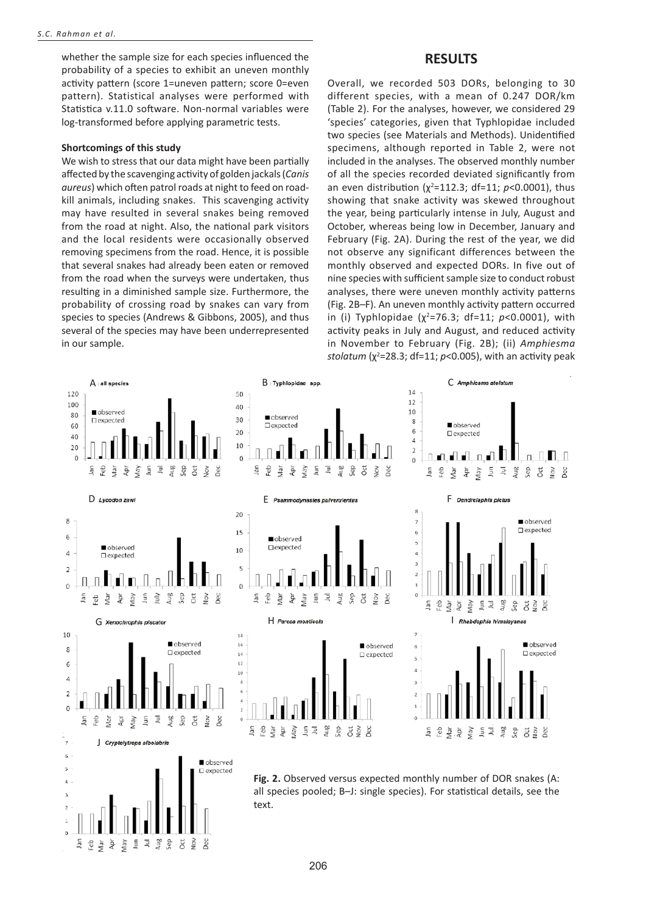whether the sample size for each species influenced the probability of a species to exhibit an uneven monthly activity pattern (score 1=uneven pattern; score 0=even pattern). Statistical analyses were performed with Statistica v.11.0 software. Non-normal variables were log-transformed before applying parametric tests.

#### **Shortcomings of this study**

We wish to stress that our data might have been partially affected by the scavenging activity of golden jackals (*Canis aureus*) which often patrol roads at night to feed on roadkill animals, including snakes. This scavenging activity may have resulted in several snakes being removed from the road at night. Also, the national park visitors and the local residents were occasionally observed removing specimens from the road. Hence, it is possible that several snakes had already been eaten or removed from the road when the surveys were undertaken, thus resulting in a diminished sample size. Furthermore, the probability of crossing road by snakes can vary from species to species (Andrews & Gibbons, 2005), and thus several of the species may have been underrepresented in our sample.

Aug<br>Sep

Yay  $\bar{z}$  $\bar{\exists}$ 

ğ eb. Иāг

 $\bar{\rm m}$ 

Oct<br>Nov

Dec

### **RESULTS**

Overall, we recorded 503 DORs, belonging to 30 different species, with a mean of 0.247 DOR/km (Table 2). For the analyses, however, we considered 29 'species' categories, given that Typhlopidae included two species (see Materials and Methods). Unidentified specimens, although reported in Table 2, were not included in the analyses. The observed monthly number of all the species recorded deviated significantly from an even distribution (χ<sup>2</sup>=112.3; df=11; *p*<0.0001), thus showing that snake activity was skewed throughout the year, being particularly intense in July, August and October, whereas being low in December, January and February (Fig. 2A). During the rest of the year, we did not observe any significant differences between the monthly observed and expected DORs. In five out of nine species with sufficient sample size to conduct robust analyses, there were uneven monthly activity patterns (Fig. 2B–F). An uneven monthly activity pattern occurred in (i) Typhlopidae (χ<sup>2</sup> =76.3; df=11; *p*<0.0001), with activity peaks in July and August, and reduced activity in November to February (Fig. 2B); (ii) *Amphiesma stolatum* (χ<sup>2</sup>=28.3; df=11; *p*<0.005), with an activity peak

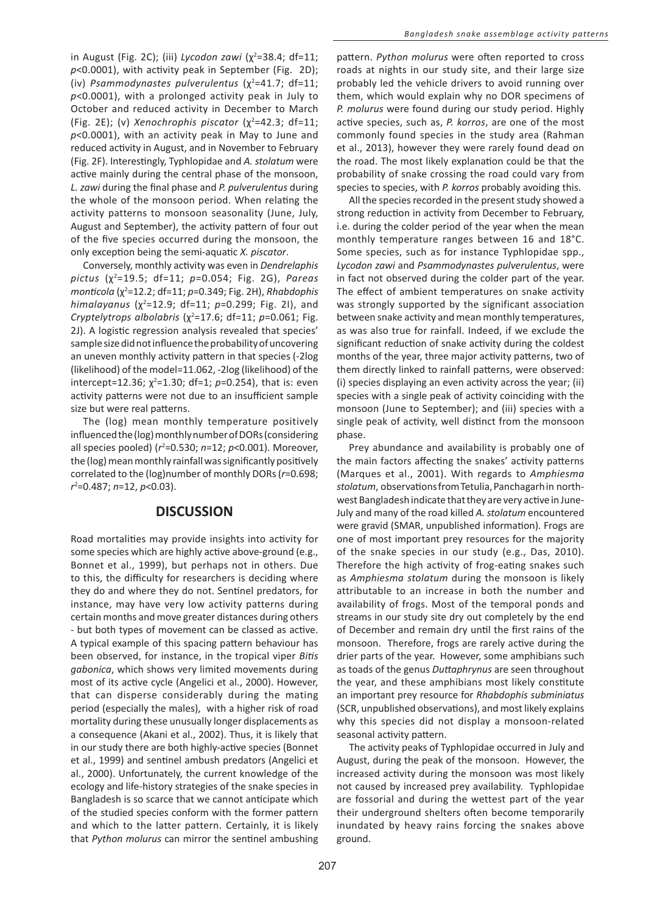in August (Fig. 2C); (iii) *Lycodon zawi* (χ<sup>2</sup>=38.4; df=11; *p*<0.0001), with activity peak in September (Fig. 2D); (iv) *Psammodynastes pulverulentus* (χ<sup>2</sup>=41.7; df=11; *p*<0.0001), with a prolonged activity peak in July to October and reduced activity in December to March (Fig. 2E); (ν) *Xenochrophis piscator* (χ<sup>2</sup>=42.3; df=11; *p*<0.0001), with an activity peak in May to June and reduced activity in August, and in November to February (Fig. 2F). Interestingly, Typhlopidae and *A. stolatum* were active mainly during the central phase of the monsoon, *L. zawi* during the final phase and *P. pulverulentus* during the whole of the monsoon period. When relating the activity patterns to monsoon seasonality (June, July, August and September), the activity pattern of four out of the five species occurred during the monsoon, the only exception being the semi-aquatic *X. piscator*.

Conversely, monthly activity was even in *Dendrelaphis pictus* (χ<sup>2</sup> =19.5; df=11; *p*=0.054; Fig. 2G), *Pareas monticola (χ*²=12.2; df=11; *p=0.349; Fig. 2H), Rhabdophis himalayanus* (χ<sup>2</sup>=12.9; df=11; *p*=0.299; Fig. 2I), and *Cryptelytrops albolabris* (χ<sup>2</sup>=17.6; df=11; *p*=0.061; Fig. 2J). A logistic regression analysis revealed that species' sample size did not influence the probability of uncovering an uneven monthly activity pattern in that species (-2log (likelihood) of the model=11.062, -2log (likelihood) of the intercept=12.36;  $χ²=1.30$ ; df=1; *p*=0.254), that is: even activity patterns were not due to an insufficient sample size but were real patterns.

The (log) mean monthly temperature positively influenced the (log) monthly number of DORs (considering all species pooled) (*r*<sup>2</sup>=0.530; *n*=12; *p*<0.001). Moreover, the (log) mean monthly rainfall was significantly positively correlated to the (log)number of monthly DORs (*r*=0.698; *r*2 =0.487; *n*=12, *p*<0.03).

# **DISCUSSION**

Road mortalities may provide insights into activity for some species which are highly active above-ground (e.g., Bonnet et al., 1999), but perhaps not in others. Due to this, the difficulty for researchers is deciding where they do and where they do not. Sentinel predators, for instance, may have very low activity patterns during certain months and move greater distances during others - but both types of movement can be classed as active. A typical example of this spacing pattern behaviour has been observed, for instance, in the tropical viper *Bitis gabonica*, which shows very limited movements during most of its active cycle (Angelici et al., 2000). However, that can disperse considerably during the mating period (especially the males), with a higher risk of road mortality during these unusually longer displacements as a consequence (Akani et al., 2002). Thus, it is likely that in our study there are both highly-active species (Bonnet et al., 1999) and sentinel ambush predators (Angelici et al., 2000). Unfortunately, the current knowledge of the ecology and life-history strategies of the snake species in Bangladesh is so scarce that we cannot anticipate which of the studied species conform with the former pattern and which to the latter pattern. Certainly, it is likely that *Python molurus* can mirror the sentinel ambushing

pattern. *Python molurus* were often reported to cross roads at nights in our study site, and their large size probably led the vehicle drivers to avoid running over them, which would explain why no DOR specimens of *P. molurus* were found during our study period. Highly active species, such as, *P. korros*, are one of the most commonly found species in the study area (Rahman et al., 2013), however they were rarely found dead on the road. The most likely explanation could be that the probability of snake crossing the road could vary from species to species, with *P. korros* probably avoiding this.

All the species recorded in the present study showed a strong reduction in activity from December to February, i.e. during the colder period of the year when the mean monthly temperature ranges between 16 and 18°C. Some species, such as for instance Typhlopidae spp., *Lycodon zawi* and *Psammodynastes pulverulentus*, were in fact not observed during the colder part of the year. The effect of ambient temperatures on snake activity was strongly supported by the significant association between snake activity and mean monthly temperatures, as was also true for rainfall. Indeed, if we exclude the significant reduction of snake activity during the coldest months of the year, three major activity patterns, two of them directly linked to rainfall patterns, were observed: (i) species displaying an even activity across the year; (ii) species with a single peak of activity coinciding with the monsoon (June to September); and (iii) species with a single peak of activity, well distinct from the monsoon phase.

Prey abundance and availability is probably one of the main factors affecting the snakes' activity patterns (Marques et al., 2001). With regards to *Amphiesma stolatum*,observations from Tetulia, Panchagarh in northwest Bangladesh indicate that they are very active in June-July and many of the road killed *A. stolatum* encountered were gravid (SMAR, unpublished information). Frogs are one of most important prey resources for the majority of the snake species in our study (e.g., Das, 2010). Therefore the high activity of frog-eating snakes such as *Amphiesma stolatum* during the monsoon is likely attributable to an increase in both the number and availability of frogs. Most of the temporal ponds and streams in our study site dry out completely by the end of December and remain dry until the first rains of the monsoon. Therefore, frogs are rarely active during the drier parts of the year. However, some amphibians such as toads of the genus *Duttaphrynus* are seen throughout the year, and these amphibians most likely constitute an important prey resource for *Rhabdophis subminiatus* (SCR, unpublished observations), and most likely explains why this species did not display a monsoon-related seasonal activity pattern.

The activity peaks of Typhlopidae occurred in July and August, during the peak of the monsoon. However, the increased activity during the monsoon was most likely not caused by increased prey availability. Typhlopidae are fossorial and during the wettest part of the year their underground shelters often become temporarily inundated by heavy rains forcing the snakes above ground.